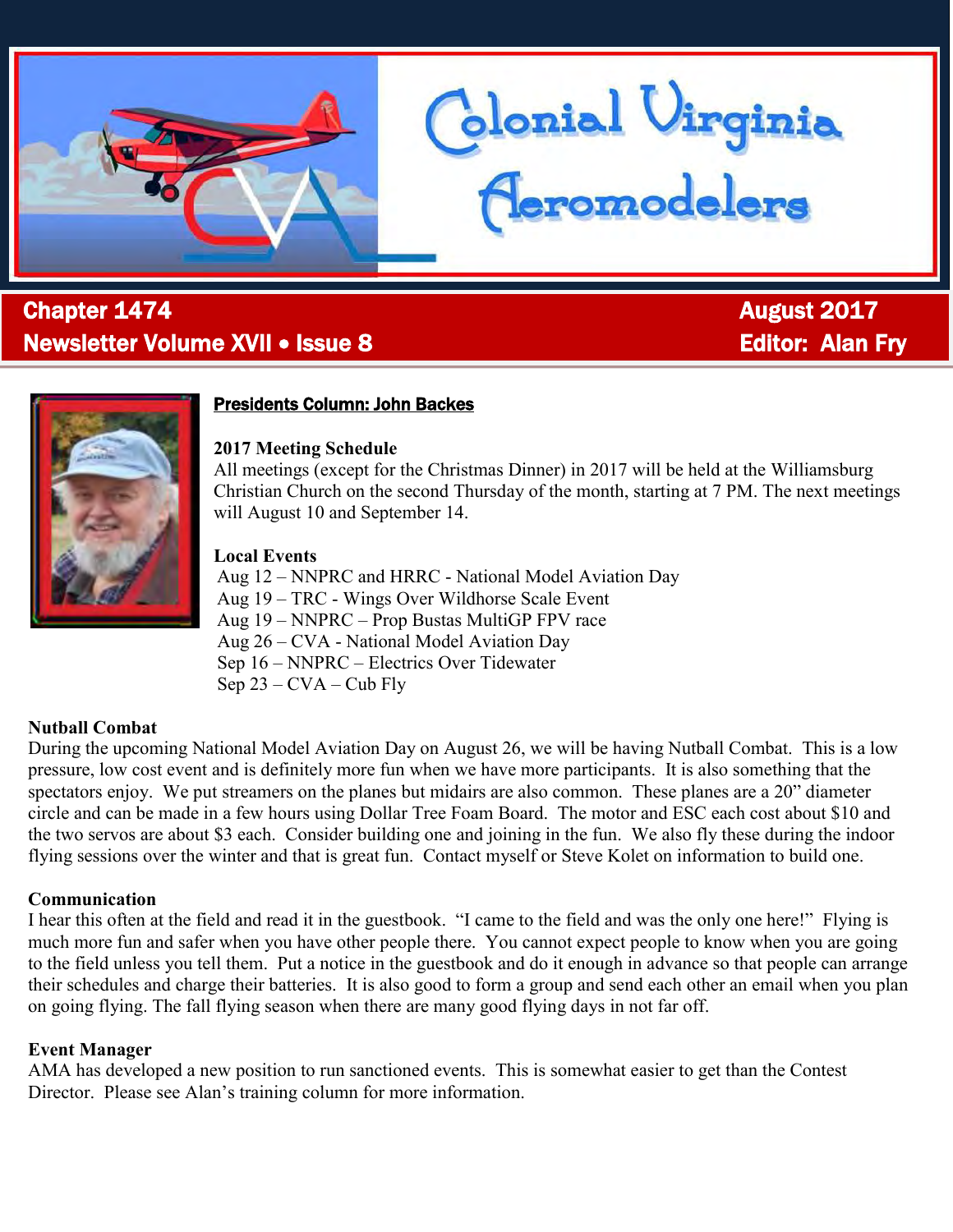

# l **Chapter 1474 Chapter 1474 August 2017** Newsletter Volume XVII • Issue 8 Editor: Alan Fry



# Presidents Column: John Backes

#### **2017 Meeting Schedule**

All meetings (except for the Christmas Dinner) in 2017 will be held at the Williamsburg Christian Church on the second Thursday of the month, starting at 7 PM. The next meetings will August 10 and September 14.

donial Uirginia<br>Ceromodelers

#### **Local Events**

Aug 12 – NNPRC and HRRC - National Model Aviation Day Aug 19 – TRC - Wings Over Wildhorse Scale Event Aug 19 – NNPRC – Prop Bustas MultiGP FPV race Aug 26 – CVA - National Model Aviation Day Sep 16 – NNPRC – Electrics Over Tidewater Sep 23 – CVA – Cub Fly

### **Nutball Combat**

During the upcoming National Model Aviation Day on August 26, we will be having Nutball Combat. This is a low pressure, low cost event and is definitely more fun when we have more participants. It is also something that the spectators enjoy. We put streamers on the planes but midairs are also common. These planes are a 20" diameter circle and can be made in a few hours using Dollar Tree Foam Board. The motor and ESC each cost about \$10 and the two servos are about \$3 each. Consider building one and joining in the fun. We also fly these during the indoor flying sessions over the winter and that is great fun. Contact myself or Steve Kolet on information to build one.

### **Communication**

I hear this often at the field and read it in the guestbook. "I came to the field and was the only one here!" Flying is much more fun and safer when you have other people there. You cannot expect people to know when you are going to the field unless you tell them. Put a notice in the guestbook and do it enough in advance so that people can arrange their schedules and charge their batteries. It is also good to form a group and send each other an email when you plan on going flying. The fall flying season when there are many good flying days in not far off.

### **Event Manager**

AMA has developed a new position to run sanctioned events. This is somewhat easier to get than the Contest Director. Please see Alan's training column for more information.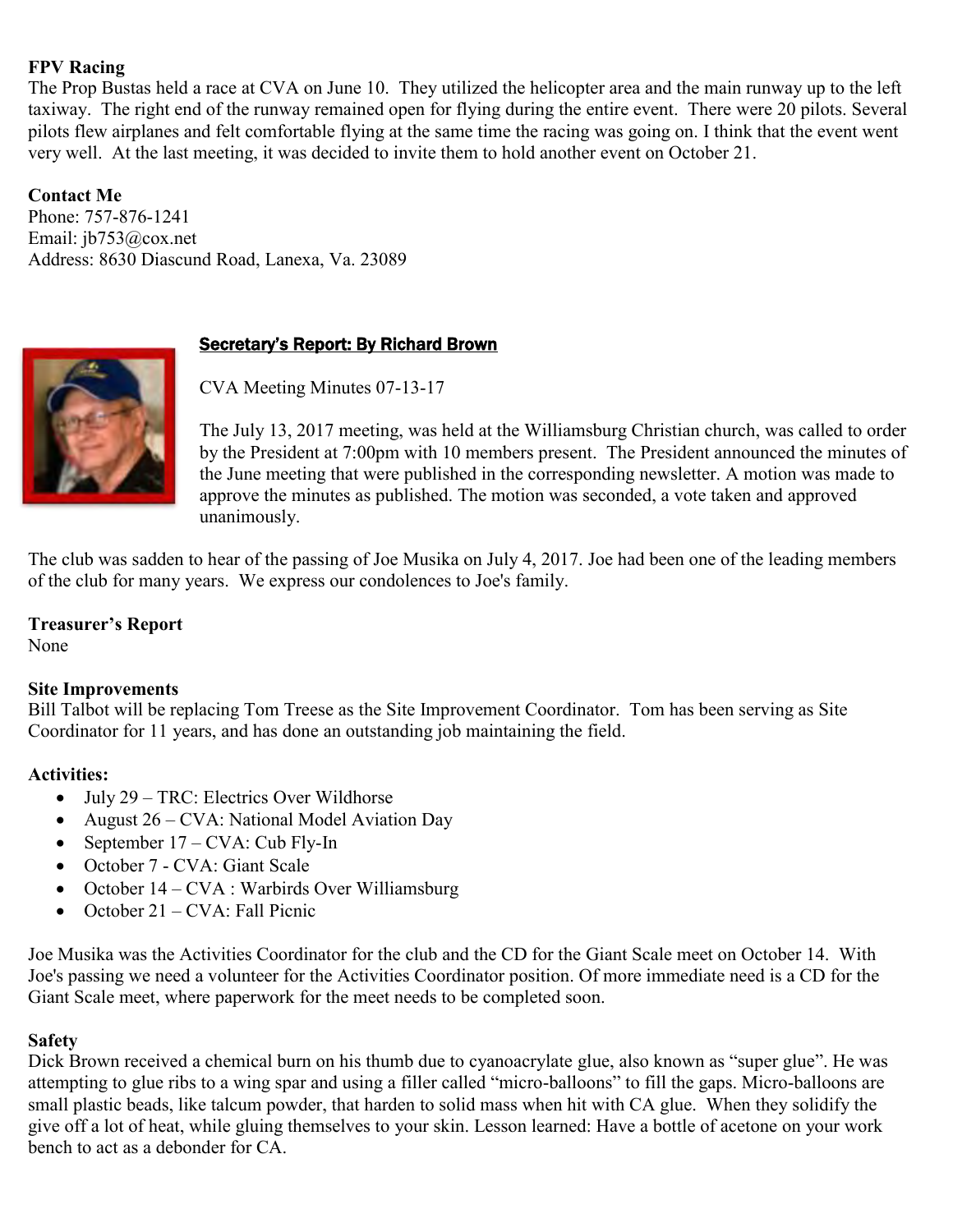### **FPV Racing**

The Prop Bustas held a race at CVA on June 10. They utilized the helicopter area and the main runway up to the left taxiway. The right end of the runway remained open for flying during the entire event. There were 20 pilots. Several pilots flew airplanes and felt comfortable flying at the same time the racing was going on. I think that the event went very well. At the last meeting, it was decided to invite them to hold another event on October 21.

# **Contact Me**

Phone: 757-876-1241 Email: [jb753@cox.net](mailto:jb753@cox.net)  Address: 8630 Diascund Road, Lanexa, Va. 23089

# **Secretary's Report: By Richard Brown**

CVA Meeting Minutes 07-13-17

The July 13, 2017 meeting, was held at the Williamsburg Christian church, was called to order by the President at 7:00pm with 10 members present. The President announced the minutes of the June meeting that were published in the corresponding newsletter. A motion was made to approve the minutes as published. The motion was seconded, a vote taken and approved unanimously.

The club was sadden to hear of the passing of Joe Musika on July 4, 2017. Joe had been one of the leading members of the club for many years. We express our condolences to Joe's family.

#### **Treasurer's Report**

None

### **Site Improvements**

Bill Talbot will be replacing Tom Treese as the Site Improvement Coordinator. Tom has been serving as Site Coordinator for 11 years, and has done an outstanding job maintaining the field.

### **Activities:**

- July 29 TRC: Electrics Over Wildhorse
- August 26 CVA: National Model Aviation Day
- September  $17 CVA$ : Cub Fly-In
- October 7 CVA: Giant Scale
- October  $14 CVA$ : Warbirds Over Williamsburg
- October  $21 CVA$ : Fall Picnic

Joe Musika was the Activities Coordinator for the club and the CD for the Giant Scale meet on October 14. With Joe's passing we need a volunteer for the Activities Coordinator position. Of more immediate need is a CD for the Giant Scale meet, where paperwork for the meet needs to be completed soon.

### **Safety**

Dick Brown received a chemical burn on his thumb due to cyanoacrylate glue, also known as "super glue". He was attempting to glue ribs to a wing spar and using a filler called "micro-balloons" to fill the gaps. Micro-balloons are small plastic beads, like talcum powder, that harden to solid mass when hit with CA glue. When they solidify the give off a lot of heat, while gluing themselves to your skin. Lesson learned: Have a bottle of acetone on your work bench to act as a debonder for CA.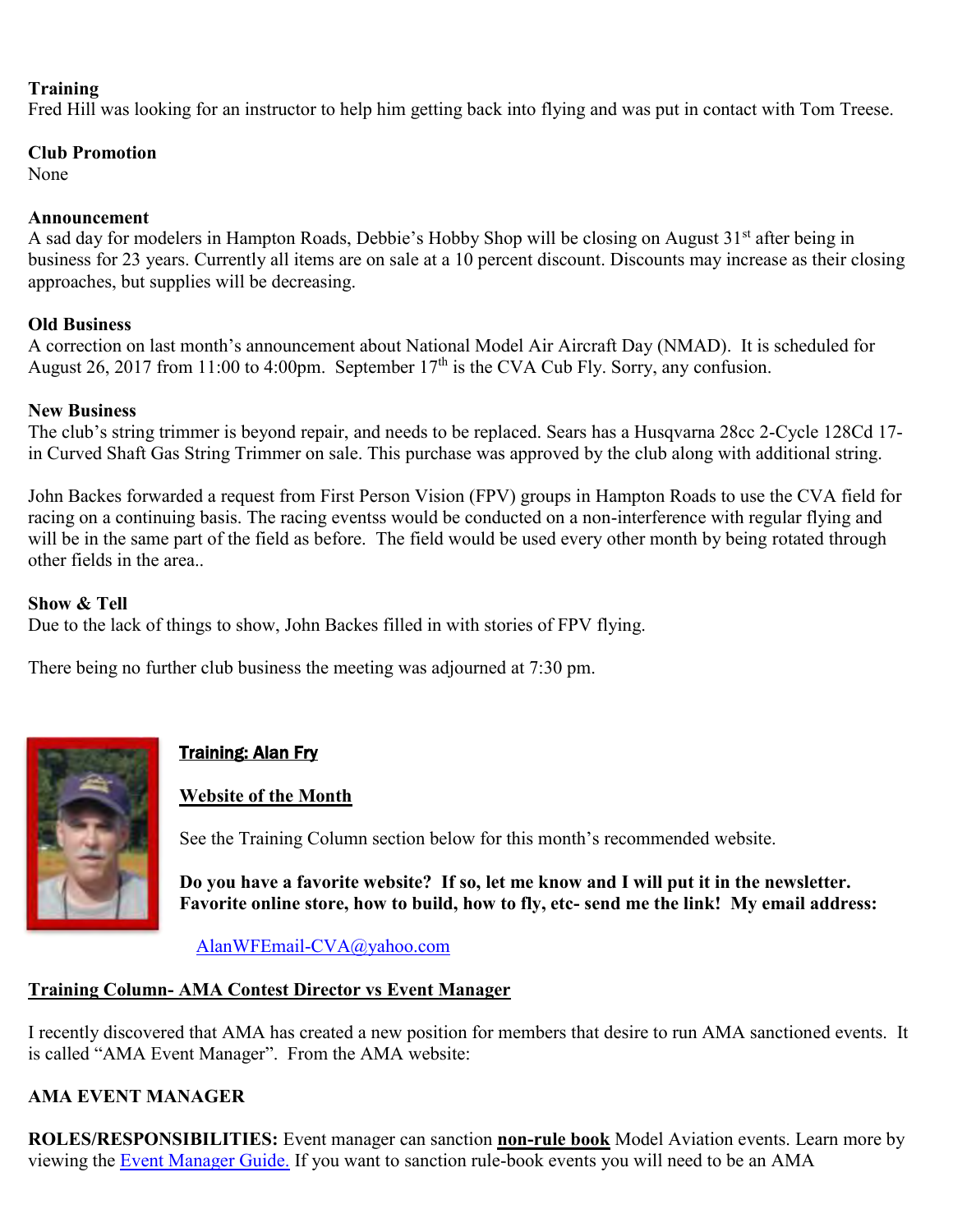#### **Training**

Fred Hill was looking for an instructor to help him getting back into flying and was put in contact with Tom Treese.

#### **Club Promotion**

None

#### **Announcement**

A sad day for modelers in Hampton Roads, Debbie's Hobby Shop will be closing on August 31<sup>st</sup> after being in business for 23 years. Currently all items are on sale at a 10 percent discount. Discounts may increase as their closing approaches, but supplies will be decreasing.

### **Old Business**

A correction on last month's announcement about National Model Air Aircraft Day (NMAD). It is scheduled for August 26, 2017 from 11:00 to 4:00pm. September  $17<sup>th</sup>$  is the CVA Cub Fly. Sorry, any confusion.

### **New Business**

The club's string trimmer is beyond repair, and needs to be replaced. Sears has a Husqvarna 28cc 2-Cycle 128Cd 17 in Curved Shaft Gas String Trimmer on sale. This purchase was approved by the club along with additional string.

John Backes forwarded a request from First Person Vision (FPV) groups in Hampton Roads to use the CVA field for racing on a continuing basis. The racing eventss would be conducted on a non-interference with regular flying and will be in the same part of the field as before. The field would be used every other month by being rotated through other fields in the area..

### **Show & Tell**

Due to the lack of things to show, John Backes filled in with stories of FPV flying.

There being no further club business the meeting was adjourned at 7:30 pm.



# Training: Alan Fry

### **Website of the Month**

See the Training Column section below for this month's recommended website.

**Do you have a favorite website? If so, let me know and I will put it in the newsletter. Favorite online store, how to build, how to fly, etc- send me the link! My email address:** 

[AlanWFEmail-CVA@yahoo.com](mailto:AlanWFEmail-CVA@yahoo.com)

### **Training Column- AMA Contest Director vs Event Manager**

I recently discovered that AMA has created a new position for members that desire to run AMA sanctioned events. It is called "AMA Event Manager". From the AMA website:

### **AMA EVENT MANAGER**

**ROLES/RESPONSIBILITIES:** Event manager can sanction **non-rule book** Model Aviation events. Learn more by viewing the [Event Manager Guide.](http://www.modelaircraft.org/files/AMA_em_guide.pdf) If you want to sanction rule-book events you will need to be an AMA